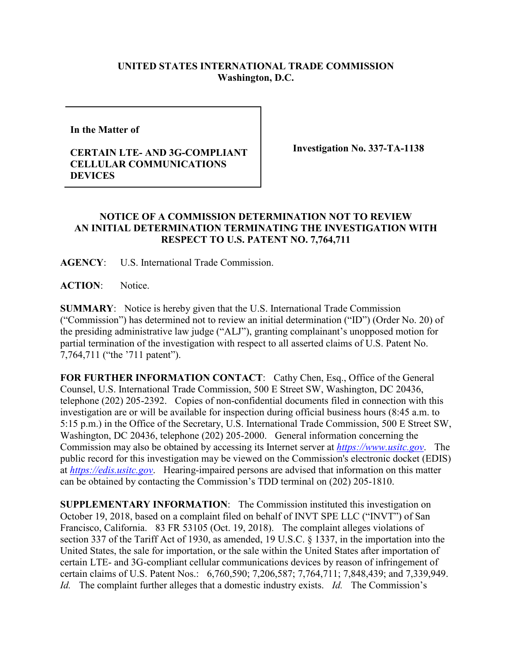## **UNITED STATES INTERNATIONAL TRADE COMMISSION Washington, D.C.**

**In the Matter of** 

## **CERTAIN LTE- AND 3G-COMPLIANT CELLULAR COMMUNICATIONS DEVICES**

**Investigation No. 337-TA-1138**

## **NOTICE OF A COMMISSION DETERMINATION NOT TO REVIEW AN INITIAL DETERMINATION TERMINATING THE INVESTIGATION WITH RESPECT TO U.S. PATENT NO. 7,764,711**

**AGENCY**: U.S. International Trade Commission.

**ACTION**: Notice.

**SUMMARY**: Notice is hereby given that the U.S. International Trade Commission ("Commission") has determined not to review an initial determination ("ID") (Order No. 20) of the presiding administrative law judge ("ALJ"), granting complainant's unopposed motion for partial termination of the investigation with respect to all asserted claims of U.S. Patent No. 7,764,711 ("the '711 patent").

FOR FURTHER INFORMATION CONTACT: Cathy Chen, Esq., Office of the General Counsel, U.S. International Trade Commission, 500 E Street SW, Washington, DC 20436, telephone (202) 205-2392. Copies of non-confidential documents filed in connection with this investigation are or will be available for inspection during official business hours (8:45 a.m. to 5:15 p.m.) in the Office of the Secretary, U.S. International Trade Commission, 500 E Street SW, Washington, DC 20436, telephone (202) 205-2000. General information concerning the Commission may also be obtained by accessing its Internet server at *[https://www.usitc.gov](https://www.usitc.gov/)*. The public record for this investigation may be viewed on the Commission's electronic docket (EDIS) at *[https://edis.usitc.gov](https://edis.usitc.gov/)*. Hearing-impaired persons are advised that information on this matter can be obtained by contacting the Commission's TDD terminal on (202) 205-1810.

**SUPPLEMENTARY INFORMATION**: The Commission instituted this investigation on October 19, 2018, based on a complaint filed on behalf of INVT SPE LLC ("INVT") of San Francisco, California. 83 FR 53105 (Oct. 19, 2018). The complaint alleges violations of section 337 of the Tariff Act of 1930, as amended, 19 U.S.C. § 1337, in the importation into the United States, the sale for importation, or the sale within the United States after importation of certain LTE- and 3G-compliant cellular communications devices by reason of infringement of certain claims of U.S. Patent Nos.: 6,760,590; 7,206,587; 7,764,711; 7,848,439; and 7,339,949. *Id.* The complaint further alleges that a domestic industry exists. *Id.* The Commission's